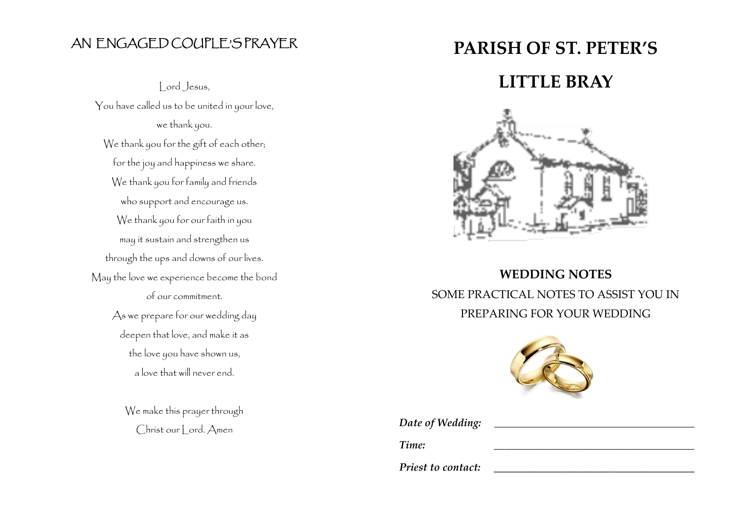### AN ENGAGED COUPLE'S PRAYER

Lord Jesus, You have called us to be united in your love, we thank you. We thank you for the gift of each other; for the joy and happiness we share. We thank you for family and friends who support and encourage us. We thank you for our faith in you may it sustain and strengthen us through the ups and downs of our lives. May the love we experience become the bond of our commitment. As we prepare for our wedding day deepen that love, and make it as the love you have shown us, a love that will never end.

> We make this prayer through Christ our Lord. Amen

# **PARISH OF ST. PETER'S**

## **LITTLE BRAY**



# **WEDDING NOTES** SOME PRACTICAL NOTES TO ASSIST YOU IN PREPARING FOR YOUR WEDDING



Date of Wedding: *Time: \_\_\_\_\_\_\_\_\_\_\_\_\_\_\_\_\_\_\_\_\_\_\_\_\_\_\_\_\_\_\_\_\_\_\_\_\_\_ Priest to contact:*